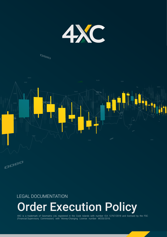

## **OBID**



### LEGAL DOCUMENTATION

# **Order Execution Policy**

4XC is a trademark of Geomatrix Ltd, registered in the Cook Islands with number ICA 12767/2018 and licensed by the FSC (Financial Supervisory Commission) with Money-Changing License number MC03/2018.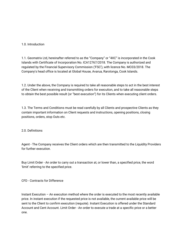#### 1.0. Introduction

1.1. Geomatrix Ltd, hereinafter referred to as the "Company" or "4XC" is incorporated in the Cook Islands with Certificate of Incorporation No. ICA12767/2018. The Company is authorized and regulated by the Financial Supervisory Commission ('FSC'), with licence No. MC03/2018. The Company's head office is located at Global House, Avarua, Rarotonga, Cook Islands.

1.2. Under the above, the Company is required to take all reasonable steps to act in the best interest of the Client when receiving and transmitting orders for execution, and to take all reasonable steps to obtain the best possible result (or "best execution") for its Clients when executing client orders.

1.3. The Terms and Conditions must be read carefully by all Clients and prospective Clients as they contain important information on Client requests and instructions, opening positions, closing positions, orders, stop Outs etc.

#### 2.0. Definitions

Agent - The Company receives the Client orders which are then transmitted to the Liquidity Providers for further execution.

Buy Limit Order - An order to carry out a transaction at, or lower than, a specified price, the word 'limit' referring to the specified price.

#### CFD - Contracts for Difference

Instant Execution – An execution method where the order is executed to the most recently available price. In instant execution if the requested price is not available, the current available price will be sent to the Client to confirm execution (requote). Instant Execution is offered under the Standard Account and Cent Account. Limit Order - An order to execute a trade at a specific price or a better one.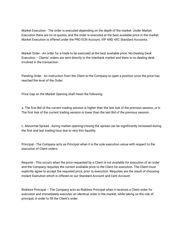Market Execution - The order is executed depending on the depth of the market. Under Market Execution there are no re-quotes, and the order is executed at the best available price in the market. Market Execution is offered under the PRO ECN Account, VIP AND 4XC Standard Accounts.

Market Order - An order for a trade to be executed at the best available price. No-Dealing Desk Execution – Clients' orders are sent directly to the interbank market and there is no dealing desk involved in the transaction.

Pending Order - An instruction from the Client to the Company to open a position once the price has reached the level of the Order.

Price Gap on the Market Opening shall mean the following:

a. The first Bid of the current trading session is higher than the last Ask of the previous session, or b. The first Ask of the current trading session is lower than the last Bid of the previous session.

c. Abnormal Spread - during market opening/closing the spread can be significantly increased during the first and last trading hour due to very thin liquidity.

Principal - The Company acts as Principal when it is the sole execution venue with respect to the execution of Client orders.

Requote - This occurs when the price requested by a Client is not available for execution of an order and the Company requotes the current available price to the Client for execution. The Client must explicitly agree to accept the requoted price, prior to execution. Requotes are the result of choosing Instant Execution which is offered on our Standard Account and Cent Account.

Riskless Principal – The Company acts as Riskless Principal when it receives a Client order for execution and immediately executes an identical order in the market, while taking on the role of principal, in order to fill the Client's order.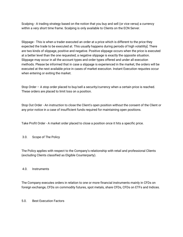Scalping - A trading strategy based on the notion that you buy and sell (or vice versa) a currency within a very short time frame. Scalping is only available to Clients on the ECN Server.

Slippage - This is when a trader executed an order at a price which is different to the price they expected the trade to be executed at. This usually happens during periods of high volatility]. There are two kinds of slippage, positive and negative. Positive slippage occurs when the price is executed at a better level than the one requested; a negative slippage is exactly the opposite situation. Slippage may occur in all the account types and order types offered and under all execution methods. Please be informed that in case a slippage is experienced in the market, the orders will be executed at the next available price in cases of market execution. Instant Execution requotes occur when entering or exiting the market.

Stop Order – A stop order placed to buy/sell a security/currency when a certain price is reached. These orders are placed to limit loss on a position.

Stop Out Order - An instruction to close the Client's open position without the consent of the Client or any prior notice in a case of insufficient funds required for maintaining open positions.

Take Profit Order - A market order placed to close a position once it hits a specific price.

#### 3.0. Scope of The Policy

The Policy applies with respect to the Company's relationship with retail and professional Clients (excluding Clients classified as Eligible Counterparty).

#### 4.0. Instruments

The Company executes orders in relation to one or more financial instruments mainly in CFDs on foreign exchange, CFDs on commodity futures, spot metals, share CFDs, CFDs on ETFs and Indices.

#### 5.0. Best Execution Factors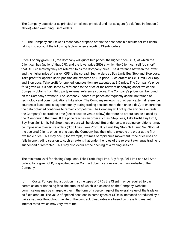The Company acts either as principal or riskless principal and not as agent (as defined in Section 2 above) when executing Client orders.

5.1. The Company shall take all reasonable steps to obtain the best possible results for its Clients taking into account the following factors when executing Clients orders:

Price: For any given CFD, the Company will quote two prices: the higher price (ASK) at which the Client can buy (go long) that CFD, and the lower price (BID) at which the Client can sell (go short) that CFD; collectively they are referred to as the Company' price. The difference between the lower and the higher price of a given CFD is the spread. Such orders as Buy Limit, Buy Stop and Stop Loss, Take profit for opened short position are executed at ASK price. Such orders as Sell Limit, Sell Stop and Stop Loss, Take profit for opened long position are executed at BID price. The Company's price for a given CFD is calculated by reference to the price of the relevant underlying asset, which the Company obtains from third party external reference sources. The Company's prices can be found on the Company's website. The Company updates its prices as frequently as the limitations of technology and communications links allow. The Company reviews its third party external reference sources at least once a day (constantly during trading session, more than once a day), to ensure that the data obtained continues to remain competitive. The Company will not quote any price outside the Company's operations time (see execution venue below) therefore no orders can be placed by the Client during that time. If the price reaches an order such as: Stop Loss, Take Profit, Buy Limit, Buy Stop, Sell Limit, Sell Stop these orders will be closed. But under certain trading conditions it may be impossible to execute orders (Stop Loss, Take Profit, Buy Limit, Buy Stop, Sell Limit, Sell Stop) at the declared Clients price. In this case the Company has the right to execute the order at the first available price. This may occur, for example, at times of rapid price movement if the price rises or falls in one trading session to such an extent that under the rules of the relevant exchange trading is suspended or restricted. This may also occur at the opening of a trading session.

The minimum level for placing Stop Loss, Take Profit, Buy Limit, Buy Stop, Sell Limit and Sell Stop orders, for a given CFD, is specified under Contract Specifications on the main Website of the Company.

(b) Costs: For opening a position in some types of CFDs the Client may be required to pay commission or financing fees, the amount of which is disclosed on the Company Website commissions may be charged either in the form of a percentage of the overall value of the trade or as fixed amount. The value of opened positions in some types of CFDs is increased or reduced by a daily swap rate throughout the life of the contract. Swap rates are based on prevailing market interest rates, which may vary over time.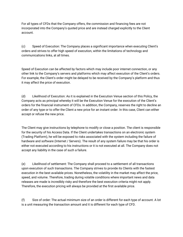For all types of CFDs that the Company offers, the commission and financing fees are not incorporated into the Company's quoted price and are instead charged explicitly to the Client account.

(c) Speed of Execution: The Company places a significant importance when executing Client's orders and strives to offer high speed of execution, within the limitations of technology and communications links, at all times.

Speed of Execution can be affected by factors which may include poor internet connection, or any other link to the Company's servers and platforms which may affect execution of the Client's orders. For example, the Client's order might be delayed to be received by the Company's platform and thus it may affect the price of execution.

(d) Likelihood of Execution: As it is explained in the Execution Venue section of this Policy, the Company acts as principal whereby it will be the Execution Venue for the execution of the Client's orders for the financial instrument of CFDs. In addition, the Company, reserves the right to decline an order of any type or to offer the Client a new price for an instant order. In this case, Client can either accept or refuse the new price.

The Client may give instructions by telephone to modify or close a position. The client is responsible for the security of his Access Data. If the Client undertakes transactions on an electronic system (Trading Platform), he will be exposed to risks associated with the system including the failure of hardware and software (Internet / Servers). The result of any system failure may be that his order is either not executed according to his instructions or it is not executed at all. The Company does not accept any liability in the case of such a failure.

(e) Likelihood of settlement: The Company shall proceed to a settlement of all transactions upon execution of such transactions. The Company strives to provide its Clients with the fastest execution in the best available prices. Nonetheless, the volatility in the market may affect the price, speed, and volume. Therefore, trading during volatile conditions where important news and data releases are made is incredibly risky and therefore the best execution criteria might not apply. Therefore, the execution pricing will always be provided at the first available price.

(f) Size of order: The actual minimum size of an order is different for each type of account. A lot is a unit measuring the transaction amount and it is different for each type of CFD.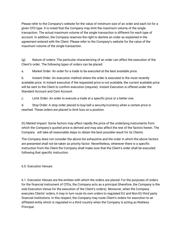Please refer to the Company's website for the value of minimum size of an order and each lot for a given CFD type. It is noted that the Company may limit the maximum volume of the single transaction. The actual maximum volume of the single transaction is different for each type of account. In addition, the Company reserves the right to decline an order as explained in the agreement entered with the Client. Please refer to the Company's website for the value of the maximum volume of the single transaction.

(g) Nature of orders: The particular characterizing of an order can affect the execution of the Client's order. The following types of orders can be placed:

a. Market Order: An order for a trade to be executed at the best available price.

b. Instant Order: An execution method where the order is executed to the most recently available price. In instant execution if the requested price is not available, the current available price will be sent to the Client to confirm execution (requote). Instant Execution is offered under the Standard Account and Cent Account.

c. Limit Order: An order to execute a trade at a specific price or a better one.

d. Stop Order: A stop order placed to buy/sell a security/currency when a certain price is reached. These orders are placed to limit loss on a position.

(h) Market Impact: Some factors may affect rapidly the price of the underlying instruments from which the Company's quoted price is derived and may also affect the rest of the factors herein. The Company will take all reasonable steps to obtain the best possible result for its Clients.

The Company does not consider the above list exhaustive and the order in which the above factors are presented shall not be taken as priority factor. Nevertheless, whenever there is a specific instruction from the Client the Company shall make sure that the Client's order shall be executed following that specific instruction.

#### 6.0. Execution Venues

6.1. Execution Venues are the entities with which the orders are placed. For the purposes of orders for the financial instrument of CFDs, the Company acts as a principal (therefore, the Company is the sole Execution Venue for the execution of the Client's orders). Moreover, when the Company executes Clients' orders, it may in turn route its own orders to regulated EU and Non-EU third party financial institutions. In this respect, the Company may route Client's orders for execution to an affiliated entity which is regulated in a third country when the Company is acting as Riskless Principal.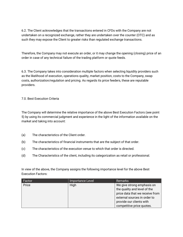6.2. The Client acknowledges that the transactions entered in CFDs with the Company are not undertaken on a recognized exchange, rather they are undertaken over the counter (OTC) and as such they may expose the Client to greater risks than regulated exchange transactions.

Therefore, the Company may not execute an order, or it may change the opening (closing) price of an order in case of any technical failure of the trading platform or quote feeds.

6.3. The Company takes into consideration multiple factors when selecting liquidity providers such as the likelihood of execution, operations quality, market position, costs to the Company, swap costs, authorization/regulation and pricing. As regards its price feeders, these are reputable providers.

#### 7.0. Best Execution Criteria

The Company will determine the relative importance of the above Best Execution Factors (see point 5) by using its commercial judgment and experience in the light of the information available on the market and taking into account:

- (a) The characteristics of the Client order.
- (b) The characteristics of financial instruments that are the subject of that order.
- (c) The characteristics of the execution venue to which that order is directed.
- (d) The Characteristics of the client, including its categorization as retail or professional.

In view of the above, the Company assigns the following importance level for the above Best Execution Factors:

| Factor | Importance Level | <b>Remarks</b>                                                                                                                                            |
|--------|------------------|-----------------------------------------------------------------------------------------------------------------------------------------------------------|
| Price  | High             | We give strong emphasis on<br>the quality and level of the<br>price data that we receive from<br>external sources in order to<br>provide our clients with |
|        |                  | competitive price quotes.                                                                                                                                 |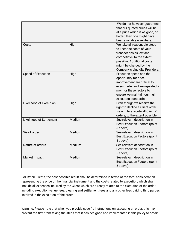|                                 |        | We do not however guarantee          |
|---------------------------------|--------|--------------------------------------|
|                                 |        | that our quoted prices will be       |
|                                 |        | at a price which is as good, or      |
|                                 |        | better, than one might have          |
|                                 |        | been available elsewhere.            |
| Costs                           | High   | We take all reasonable steps         |
|                                 |        | to keep the costs of your            |
|                                 |        | transactions as low and              |
|                                 |        | competitive, to the extent           |
|                                 |        | possible. Additional costs           |
|                                 |        | might be charged by the              |
|                                 |        | Company's Liquidity Providers.       |
| Speed of Execution              | High   | Execution speed and the              |
|                                 |        | opportunity for price                |
|                                 |        | improvement are critical to          |
|                                 |        | every trader and we repeatedly       |
|                                 |        | monitor these factors to             |
|                                 |        | ensure we maintain our high          |
|                                 |        | execution standards.                 |
| Likelihood of Execution         | High   | Even though we reserve the           |
|                                 |        | right to decline a Client order      |
|                                 |        | we aim to execute all Clients'       |
|                                 |        | orders, to the extent possible       |
| <b>Likelihood of Settlement</b> | Medium | See relevant description in          |
|                                 |        | <b>Best Execution Factors (point</b> |
|                                 |        | 5 above).                            |
| Sie of order                    | Medium | See relevant description in          |
|                                 |        | <b>Best Execution Factors (point</b> |
|                                 |        | 5 above).                            |
| Nature of orders                | Medium | See relevant description in          |
|                                 |        | <b>Best Execution Factors (point</b> |
|                                 |        | 5 above).                            |
| Market Impact                   | Medium | See relevant description in          |
|                                 |        | <b>Best Execution Factors (point</b> |
|                                 |        | 5 above).                            |

For Retail Clients, the best possible result shall be determined in terms of the total consideration, representing the price of the financial instrument and the costs related to execution, which shall include all expenses incurred by the Client which are directly related to the execution of the order, including execution venue fees, clearing and settlement fees and any other fees paid to third parties involved in the execution of the order.

Warning: Please note that when you provide specific instructions on executing an order, this may prevent the firm from taking the steps that it has designed and implemented in this policy to obtain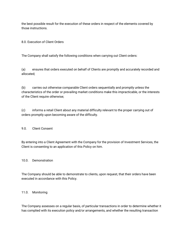the best possible result for the execution of these orders in respect of the elements covered by those instructions.

8.0. Execution of Client Orders

The Company shall satisfy the following conditions when carrying out Client orders:

(a) ensures that orders executed on behalf of Clients are promptly and accurately recorded and allocated;

(b) carries out otherwise comparable Client orders sequentially and promptly unless the characteristics of the order or prevailing market conditions make this impracticable, or the interests of the Client require otherwise;

(c) informs a retail Client about any material difficulty relevant to the proper carrying out of orders promptly upon becoming aware of the difficulty.

9.0. Client Consent

By entering into a Client Agreement with the Company for the provision of Investment Services, the Client is consenting to an application of this Policy on him.

#### 10.0. Demonstration

The Company should be able to demonstrate to clients, upon request, that their orders have been executed in accordance with this Policy.

#### 11.0. Monitoring

The Company assesses on a regular basis, of particular transactions in order to determine whether it has complied with its execution policy and/or arrangements, and whether the resulting transaction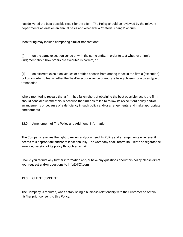has delivered the best possible result for the client. The Policy should be reviewed by the relevant departments at least on an annual basis and whenever a "material change" occurs.

Monitoring may include comparing similar transactions:

(i) on the same execution venue or with the same entity, in order to test whether a firm's Judgment about how orders are executed is correct, or

(ii) on different execution venues or entities chosen from among those in the firm's (execution) policy, in order to test whether the 'best' execution venue or entity is being chosen for a given type of transaction.

Where monitoring reveals that a firm has fallen short of obtaining the best possible result, the firm should consider whether this is because the firm has failed to follow its (execution) policy and/or arrangements or because of a deficiency in such policy and/or arrangements, and make appropriate amendments.

12.0. Amendment of The Policy and Additional Information

The Company reserves the right to review and/or amend its Policy and arrangements whenever it deems this appropriate and/or at least annually. The Company shall inform its Clients as regards the amended version of its policy through an email.

Should you require any further information and/or have any questions about this policy please direct your request and/or questions to info@4XC.com

#### 13.0. CLIENT CONSENT

The Company is required, when establishing a business relationship with the Customer, to obtain his/her prior consent to this Policy.